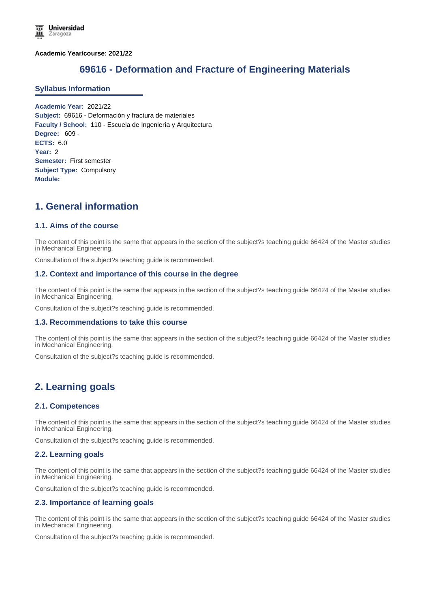**Academic Year/course: 2021/22**

# **69616 - Deformation and Fracture of Engineering Materials**

#### **Syllabus Information**

**Academic Year:** 2021/22 **Subject:** 69616 - Deformación y fractura de materiales **Faculty / School:** 110 - Escuela de Ingeniería y Arquitectura **Degree:** 609 - **ECTS:** 6.0 **Year:** 2 **Semester:** First semester **Subject Type:** Compulsory **Module:**

# **1. General information**

## **1.1. Aims of the course**

The content of this point is the same that appears in the section of the subject?s teaching guide 66424 of the Master studies in Mechanical Engineering.

Consultation of the subject?s teaching guide is recommended.

#### **1.2. Context and importance of this course in the degree**

The content of this point is the same that appears in the section of the subject?s teaching guide 66424 of the Master studies in Mechanical Engineering.

Consultation of the subject?s teaching guide is recommended.

#### **1.3. Recommendations to take this course**

The content of this point is the same that appears in the section of the subject?s teaching guide 66424 of the Master studies in Mechanical Engineering.

Consultation of the subject?s teaching guide is recommended.

## **2. Learning goals**

#### **2.1. Competences**

The content of this point is the same that appears in the section of the subject?s teaching guide 66424 of the Master studies in Mechanical Engineering.

Consultation of the subject?s teaching guide is recommended.

#### **2.2. Learning goals**

The content of this point is the same that appears in the section of the subject?s teaching guide 66424 of the Master studies in Mechanical Engineering.

Consultation of the subject?s teaching guide is recommended.

## **2.3. Importance of learning goals**

The content of this point is the same that appears in the section of the subject?s teaching guide 66424 of the Master studies in Mechanical Engineering.

Consultation of the subject?s teaching guide is recommended.